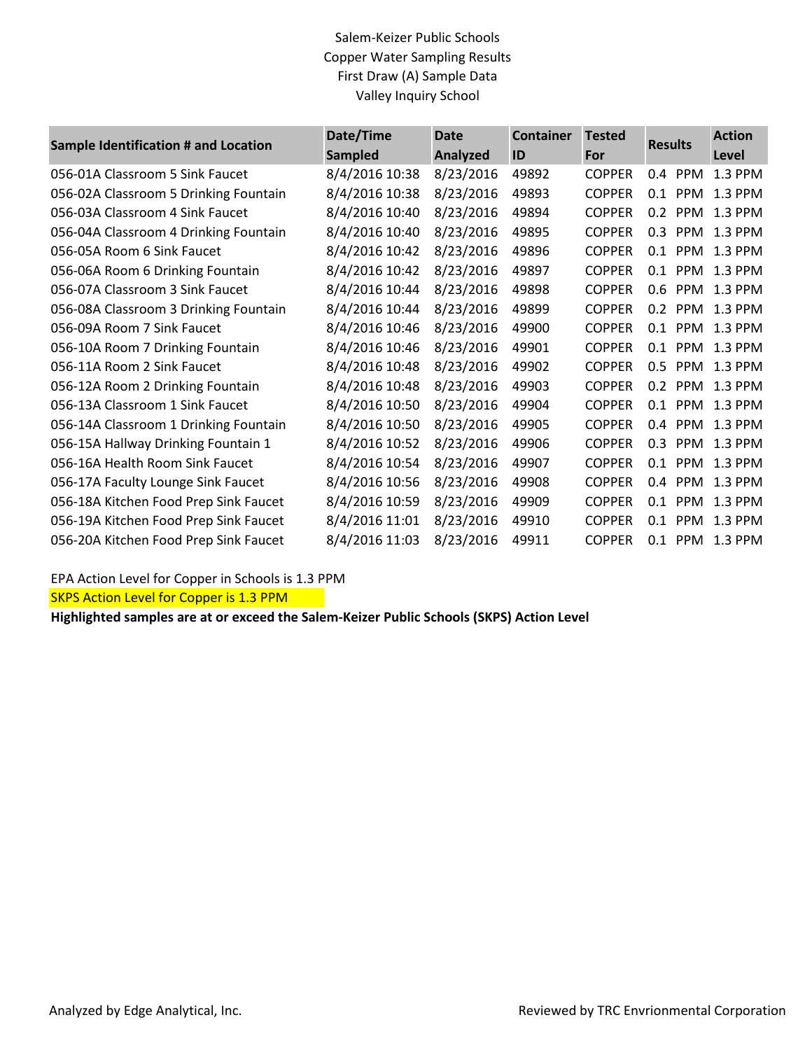## Salem-Keizer Public Schools Copper Water Sampling Results First Draw (A) Sample Data Valley Inquiry School

| Sample Identification # and Location  | Date/Time<br><b>Sampled</b> | <b>Date</b><br><b>Analyzed</b> | <b>Container</b><br>ID | <b>Tested</b><br>For | <b>Results</b>    | <b>Action</b><br>Level |
|---------------------------------------|-----------------------------|--------------------------------|------------------------|----------------------|-------------------|------------------------|
| 056-01A Classroom 5 Sink Faucet       | 8/4/2016 10:38              | 8/23/2016                      | 49892                  | <b>COPPER</b>        | <b>PPM</b><br>0.4 | 1.3 PPM                |
| 056-02A Classroom 5 Drinking Fountain | 8/4/2016 10:38              | 8/23/2016                      | 49893                  | <b>COPPER</b>        | PPM<br>0.1        | 1.3 PPM                |
| 056-03A Classroom 4 Sink Faucet       | 8/4/2016 10:40              | 8/23/2016                      | 49894                  | <b>COPPER</b>        | 0.2<br><b>PPM</b> | 1.3 PPM                |
| 056-04A Classroom 4 Drinking Fountain | 8/4/2016 10:40              | 8/23/2016                      | 49895                  | <b>COPPER</b>        | PPM<br>0.3        | 1.3 PPM                |
| 056-05A Room 6 Sink Faucet            | 8/4/2016 10:42              | 8/23/2016                      | 49896                  | <b>COPPER</b>        | <b>PPM</b><br>0.1 | 1.3 PPM                |
| 056-06A Room 6 Drinking Fountain      | 8/4/2016 10:42              | 8/23/2016                      | 49897                  | <b>COPPER</b>        | 0.1               | PPM 1.3 PPM            |
| 056-07A Classroom 3 Sink Faucet       | 8/4/2016 10:44              | 8/23/2016                      | 49898                  | <b>COPPER</b>        | 0.6 PPM 1.3 PPM   |                        |
| 056-08A Classroom 3 Drinking Fountain | 8/4/2016 10:44              | 8/23/2016                      | 49899                  | <b>COPPER</b>        | <b>PPM</b><br>0.2 | 1.3 PPM                |
| 056-09A Room 7 Sink Faucet            | 8/4/2016 10:46              | 8/23/2016                      | 49900                  | <b>COPPER</b>        | 0.1<br><b>PPM</b> | 1.3 PPM                |
| 056-10A Room 7 Drinking Fountain      | 8/4/2016 10:46              | 8/23/2016                      | 49901                  | <b>COPPER</b>        | 0.1 PPM 1.3 PPM   |                        |
| 056-11A Room 2 Sink Faucet            | 8/4/2016 10:48              | 8/23/2016                      | 49902                  | <b>COPPER</b>        | <b>PPM</b><br>0.5 | 1.3 PPM                |
| 056-12A Room 2 Drinking Fountain      | 8/4/2016 10:48              | 8/23/2016                      | 49903                  | <b>COPPER</b>        | 0.2<br>PPM        | 1.3 PPM                |
| 056-13A Classroom 1 Sink Faucet       | 8/4/2016 10:50              | 8/23/2016                      | 49904                  | <b>COPPER</b>        | 0.1               | PPM 1.3 PPM            |
| 056-14A Classroom 1 Drinking Fountain | 8/4/2016 10:50              | 8/23/2016                      | 49905                  | <b>COPPER</b>        | <b>PPM</b><br>0.4 | 1.3 PPM                |
| 056-15A Hallway Drinking Fountain 1   | 8/4/2016 10:52              | 8/23/2016                      | 49906                  | <b>COPPER</b>        | PPM<br>0.3        | 1.3 PPM                |
| 056-16A Health Room Sink Faucet       | 8/4/2016 10:54              | 8/23/2016                      | 49907                  | <b>COPPER</b>        | 0.1<br><b>PPM</b> | 1.3 PPM                |
| 056-17A Faculty Lounge Sink Faucet    | 8/4/2016 10:56              | 8/23/2016                      | 49908                  | <b>COPPER</b>        | PPM<br>0.4        | 1.3 PPM                |
| 056-18A Kitchen Food Prep Sink Faucet | 8/4/2016 10:59              | 8/23/2016                      | 49909                  | <b>COPPER</b>        | <b>PPM</b><br>0.1 | 1.3 PPM                |
| 056-19A Kitchen Food Prep Sink Faucet | 8/4/2016 11:01              | 8/23/2016                      | 49910                  | <b>COPPER</b>        | <b>PPM</b><br>0.1 | 1.3 PPM                |
| 056-20A Kitchen Food Prep Sink Faucet | 8/4/2016 11:03              | 8/23/2016                      | 49911                  | <b>COPPER</b>        | 0.1 PPM 1.3 PPM   |                        |

EPA Action Level for Copper in Schools is 1.3 PPM

**SKPS Action Level for Copper is 1.3 PPM** 

**Highlighted samples are at or exceed the Salem-Keizer Public Schools (SKPS) Action Level**